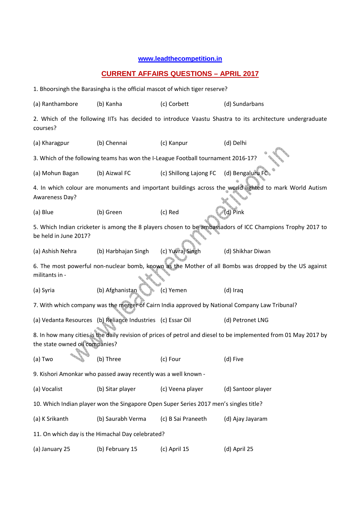## **www.leadthecompetition.in**

## **CURRENT AFFAIRS QUESTIONS – APRIL 2017**

1. Bhoorsingh the Barasingha is the official mascot of which tiger reserve?

| (a) Ranthambore                                                                                                                                    | (b) Kanha                                                   | (c) Corbett            | (d) Sundarbans     |  |  |  |  |  |  |  |  |
|----------------------------------------------------------------------------------------------------------------------------------------------------|-------------------------------------------------------------|------------------------|--------------------|--|--|--|--|--|--|--|--|
| 2. Which of the following IITs has decided to introduce Vaastu Shastra to its architecture undergraduate<br>courses?                               |                                                             |                        |                    |  |  |  |  |  |  |  |  |
| (a) Kharagpur                                                                                                                                      | (b) Chennai                                                 | (c) Kanpur             | (d) Delhi          |  |  |  |  |  |  |  |  |
| 3. Which of the following teams has won the I-League Football tournament 2016-17?                                                                  |                                                             |                        |                    |  |  |  |  |  |  |  |  |
| (a) Mohun Bagan                                                                                                                                    | (b) Aizwal FC                                               | (c) Shillong Lajong FC | (d) Bengaluru FC   |  |  |  |  |  |  |  |  |
| 4. In which colour are monuments and important buildings across the world lighted to mark World Autism<br>Awareness Day?                           |                                                             |                        |                    |  |  |  |  |  |  |  |  |
| (a) Blue                                                                                                                                           | (b) Green                                                   | (c) Red                | (d) Pink           |  |  |  |  |  |  |  |  |
| 5. Which Indian cricketer is among the 8 players chosen to be ambassadors of ICC Champions Trophy 2017 to<br>be held in June 2017?                 |                                                             |                        |                    |  |  |  |  |  |  |  |  |
| (a) Ashish Nehra                                                                                                                                   | (b) Harbhajan Singh                                         | (c) Yuvraj Singh       | (d) Shikhar Diwan  |  |  |  |  |  |  |  |  |
| 6. The most powerful non-nuclear bomb, known as the Mother of all Bombs was dropped by the US against<br>militants in -                            |                                                             |                        |                    |  |  |  |  |  |  |  |  |
| (a) Syria                                                                                                                                          | (b) Afghanistan                                             | (c) Yemen              | (d) Iraq           |  |  |  |  |  |  |  |  |
| 7. With which company was the merger of Cairn India approved by National Company Law Tribunal?                                                     |                                                             |                        |                    |  |  |  |  |  |  |  |  |
|                                                                                                                                                    | (a) Vedanta Resources (b) Reliance Industries (c) Essar Oil |                        | (d) Petronet LNG   |  |  |  |  |  |  |  |  |
| 8. In how many cities is the daily revision of prices of petrol and diesel to be implemented from 01 May 2017 by<br>the state owned oil companies? |                                                             |                        |                    |  |  |  |  |  |  |  |  |
| (a) Two                                                                                                                                            | (b) Three                                                   | (c) Four               | (d) Five           |  |  |  |  |  |  |  |  |
| 9. Kishori Amonkar who passed away recently was a well known -                                                                                     |                                                             |                        |                    |  |  |  |  |  |  |  |  |
| (a) Vocalist                                                                                                                                       | (b) Sitar player                                            | (c) Veena player       | (d) Santoor player |  |  |  |  |  |  |  |  |
| 10. Which Indian player won the Singapore Open Super Series 2017 men's singles title?                                                              |                                                             |                        |                    |  |  |  |  |  |  |  |  |
| (a) K Srikanth                                                                                                                                     | (b) Saurabh Verma                                           | (c) B Sai Praneeth     | (d) Ajay Jayaram   |  |  |  |  |  |  |  |  |
| 11. On which day is the Himachal Day celebrated?                                                                                                   |                                                             |                        |                    |  |  |  |  |  |  |  |  |
| (a) January 25                                                                                                                                     | (b) February 15                                             | (c) April 15           | (d) April 25       |  |  |  |  |  |  |  |  |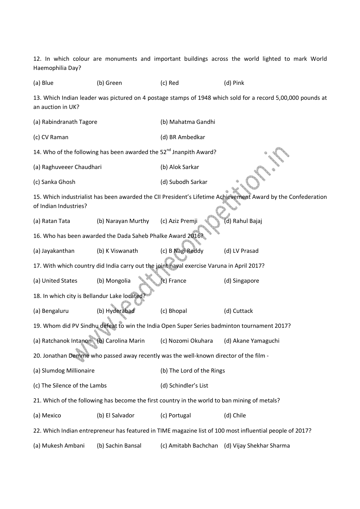12. In which colour are monuments and important buildings across the world lighted to mark World Haemophilia Day? (a) Blue (b) Green (c) Red (d) Pink 13. Which Indian leader was pictured on 4 postage stamps of 1948 which sold for a record 5,00,000 pounds at an auction in UK? (a) Rabindranath Tagore (b) Mahatma Gandhi (c) CV Raman (d) BR Ambedkar 14. Who of the following has been awarded the 52<sup>nd</sup> Jnanpith Award? (a) Raghuveeer Chaudhari (b) Alok Sarkar (c) Sanka Ghosh (d) Subodh Sarkar 15. Which industrialist has been awarded the CII President's Lifetime Achievement Award by the Confederation of Indian Industries? (a) Ratan Tata (b) Narayan Murthy (c) Aziz Premji (d) Rahul Bajaj 16. Who has been awarded the Dada Saheb Phalke Award 2016? (a) Jayakanthan (b) K Viswanath (c) B Nagi Reddy (d) LV Prasad 17. With which country did India carry out the joint naval exercise Varuna in April 2017? (a) United States (b) Mongolia (c) France (d) Singapore 18. In which city is Bellandur Lake located (a) Bengaluru (b) Hyderabad (c) Bhopal (d) Cuttack 19. Whom did PV Sindhu defeat to win the India Open Super Series badminton tournament 2017? (a) Ratchanok Intanon (b) Carolina Marin (c) Nozomi Okuhara (d) Akane Yamaguchi 20. Jonathan Demme who passed away recently was the well-known director of the film - (a) Slumdog Millionaire (b) The Lord of the Rings (c) The Silence of the Lambs (d) Schindler's List 21. Which of the following has become the first country in the world to ban mining of metals? (a) Mexico (b) El Salvador (c) Portugal (d) Chile 22. Which Indian entrepreneur has featured in TIME magazine list of 100 most influential people of 2017? (a) Mukesh Ambani (b) Sachin Bansal (c) Amitabh Bachchan (d) Vijay Shekhar Sharma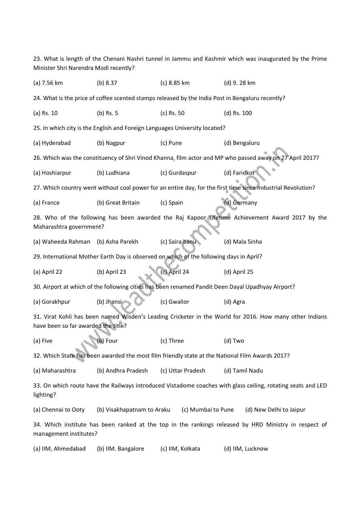23. What is length of the Chenani Nashri tunnel in Jammu and Kashmir which was inaugurated by the Prime Minister Shri Narendra Modi recently? (a) 7.56 km (b) 8.37 (c) 8.85 km (d) 9. 28 km 24. What is the price of coffee scented stamps released by the India Post in Bengaluru recently? (a) Rs. 10 (b) Rs. 5 (c) Rs. 50 (d) Rs. 100 25. In which city is the English and Foreign Languages University located? (a) Hyderabad (b) Nagpur (c) Pune (d) Bengaluru 26. Which was the constituency of Shri Vinod Khanna, film actor and MP who passed away on 27 April 2017? (a) Hoshiarpur (b) Ludhiana (c) Gurdaspur (d) Faridkot 27. Which country went without coal power for an entire day, for the first time since Industrial Revolution? (a) France (b) Great Britain (c) Spain (d) Germany 28. Who of the following has been awarded the Raj Kapoor Lifetime Achievement Award 2017 by the Maharashtra government? (a) Waheeda Rahman (b) Asha Parekh (c) Saira banu (d) Mala Sinha 29. International Mother Earth Day is observed on which of the following days in April? (a) April 22 (b) April 23 (c) April 24 (d) April 25 30. Airport at which of the following cities has been renamed Pandit Deen Dayal Upadhyay Airport? (a) Gorakhpur (b) Jhansi (c) Gwalior (d) Agra 31. Virat Kohli has been named Wisden's Leading Cricketer in the World for 2016. How many other Indians have been so far awarded the title? (a) Five (b) Four (c) Three (d) Two 32. Which State has been awarded the most film friendly state at the National Film Awards 2017? (a) Maharashtra (b) Andhra Pradesh (c) Uttar Pradesh (d) Tamil Nadu 33. On which route have the Railways introduced Vistadome coaches with glass ceiling, rotating seats and LED lighting? (a) Chennai to Ooty (b) Visakhapatnam to Araku (c) Mumbai to Pune (d) New Delhi to Jaipur 34. Which institute has been ranked at the top in the rankings released by HRD Ministry in respect of management institutes? (a) IIM, Ahmedabad (b) IIM. Bangalore (c) IIM, Kolkata (d) IIM, Lucknow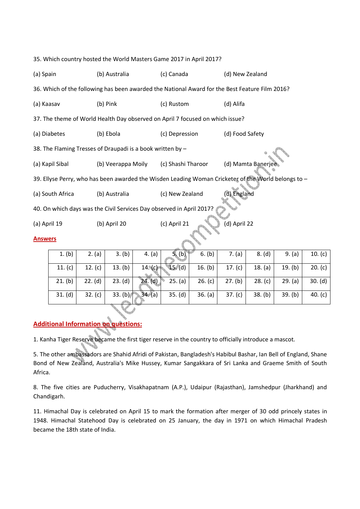| 35. Which country hosted the World Masters Game 2017 in April 2017?                                 |                                       |           |                              |                    |                     |                   |           |         |         |           |  |  |  |
|-----------------------------------------------------------------------------------------------------|---------------------------------------|-----------|------------------------------|--------------------|---------------------|-------------------|-----------|---------|---------|-----------|--|--|--|
| (a) Spain                                                                                           | (b) Australia                         |           | (c) Canada                   |                    | (d) New Zealand     |                   |           |         |         |           |  |  |  |
| 36. Which of the following has been awarded the National Award for the Best Feature Film 2016?      |                                       |           |                              |                    |                     |                   |           |         |         |           |  |  |  |
|                                                                                                     | (a) Kaasav<br>(b) Pink                |           |                              | (c) Rustom         |                     | (d) Alifa         |           |         |         |           |  |  |  |
| 37. The theme of World Health Day observed on April 7 focused on which issue?                       |                                       |           |                              |                    |                     |                   |           |         |         |           |  |  |  |
|                                                                                                     | (a) Diabetes<br>(b) Ebola             |           |                              | (c) Depression     |                     | (d) Food Safety   |           |         |         |           |  |  |  |
| 38. The Flaming Tresses of Draupadi is a book written by -                                          |                                       |           |                              |                    |                     |                   |           |         |         |           |  |  |  |
|                                                                                                     | (a) Kapil Sibal<br>(b) Veerappa Moily |           |                              | (c) Shashi Tharoor |                     | (d) Mamta Banerje |           |         |         |           |  |  |  |
| 39. Ellyse Perry, who has been awarded the Wisden Leading Woman Cricketer of the World belongs to - |                                       |           |                              |                    |                     |                   |           |         |         |           |  |  |  |
| (a) South Africa<br>(b) Australia                                                                   |                                       |           | (c) New Zealand              |                    | (d) England         |                   |           |         |         |           |  |  |  |
| 40. On which days was the Civil Services Day observed in April 2017?                                |                                       |           |                              |                    |                     |                   |           |         |         |           |  |  |  |
| (b) April 20<br>(a) April 19                                                                        |                                       |           | (c) April 21<br>(d) April 22 |                    |                     |                   |           |         |         |           |  |  |  |
| <b>Answers</b>                                                                                      |                                       |           |                              |                    |                     |                   |           |         |         |           |  |  |  |
|                                                                                                     | 1. (b)                                | 2. (a)    | 3. (b)                       | 4. (a)             | 5. (b)              | 6. (b)            | 7. (a)    | 8. (d)  | 9. (a)  | 10. (c)   |  |  |  |
|                                                                                                     | 11. $(c)$                             | 12. $(c)$ | 13. (b)                      | 14. (c)            | $\overline{15}$ (d) | 16. $(b)$         | 17. $(c)$ | 18. (a) | 19. (b) | 20. (c)   |  |  |  |
|                                                                                                     | 21. (b)                               | 22. (d)   | 23. (d)                      | 24. (d)            | 25. (a)             | 26. (c)           | 27. (b)   | 28. (c) | 29. (a) | 30. (d)   |  |  |  |
|                                                                                                     | 31. (d)                               | 32. (c)   | 33. (b)                      | 34. (a)            | 35. (d)             | 36. (a)           | 37. (c)   | 38. (b) | 39. (b) | 40. $(c)$ |  |  |  |
|                                                                                                     |                                       |           |                              |                    |                     |                   |           |         |         |           |  |  |  |

## **Additional Information on questions:**

1. Kanha Tiger Reserve became the first tiger reserve in the country to officially introduce a mascot.

5. The other ambassadors are Shahid Afridi of Pakistan, Bangladesh's Habibul Bashar, Ian Bell of England, Shane Bond of New Zealand, Australia's Mike Hussey, Kumar Sangakkara of Sri Lanka and Graeme Smith of South Africa.

8. The five cities are Puducherry, Visakhapatnam (A.P.), Udaipur (Rajasthan), Jamshedpur (Jharkhand) and Chandigarh.

11. Himachal Day is celebrated on April 15 to mark the formation after merger of 30 odd princely states in 1948. Himachal Statehood Day is celebrated on 25 January, the day in 1971 on which Himachal Pradesh became the 18th state of India.